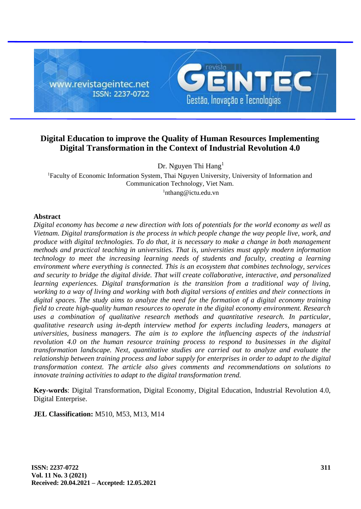

# **Digital Education to improve the Quality of Human Resources Implementing Digital Transformation in the Context of Industrial Revolution 4.0**

Dr. Nguyen Thi Hang<sup>1</sup> <sup>1</sup>Faculty of Economic Information System, Thai Nguyen University, University of Information and Communication Technology, Viet Nam.

<sup>1</sup>nthang@ictu.edu.vn

### **Abstract**

*Digital economy has become a new direction with lots of potentials for the world economy as well as Vietnam. Digital transformation is the process in which people change the way people live, work, and produce with digital technologies. To do that, it is necessary to make a change in both management methods and practical teaching in universities. That is, universities must apply modern information technology to meet the increasing learning needs of students and faculty, creating a learning environment where everything is connected. This is an ecosystem that combines technology, services and security to bridge the digital divide. That will create collaborative, interactive, and personalized learning experiences. Digital transformation is the transition from a traditional way of living, working to a way of living and working with both digital versions of entities and their connections in digital spaces. The study aims to analyze the need for the formation of a digital economy training field to create high-quality human resources to operate in the digital economy environment. Research uses a combination of qualitative research methods and quantitative research. In particular, qualitative research using in-depth interview method for experts including leaders, managers at universities, business managers. The aim is to explore the influencing aspects of the industrial revolution 4.0 on the human resource training process to respond to businesses in the digital transformation landscape. Next, quantitative studies are carried out to analyze and evaluate the relationship between training process and labor supply for enterprises in order to adapt to the digital transformation context. The article also gives comments and recommendations on solutions to innovate training activities to adapt to the digital transformation trend.*

**Key-words**: Digital Transformation, Digital Economy, Digital Education, Industrial Revolution 4.0, Digital Enterprise.

**JEL Classification:** M510, M53, M13, M14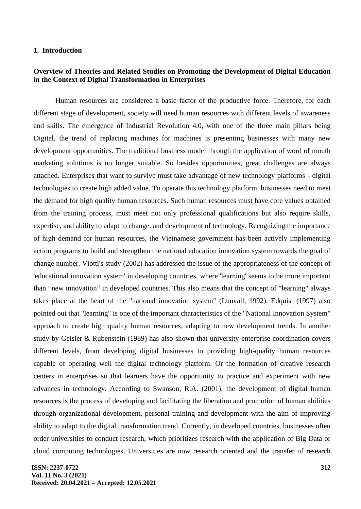#### **1. Introduction**

### **Overview of Theories and Related Studies on Promoting the Development of Digital Education in the Context of Digital Transformation in Enterprises**

Human resources are considered a basic factor of the productive force. Therefore, for each different stage of development, society will need human resources with different levels of awareness and skills. The emergence of Industrial Revolution 4.0, with one of the three main pillars being Digital, the trend of replacing machines for machines is presenting businesses with many new development opportunities. The traditional business model through the application of word of mouth marketing solutions is no longer suitable. So besides opportunities, great challenges are always attached. Enterprises that want to survive must take advantage of new technology platforms - digital technologies to create high added value. To operate this technology platform, businesses need to meet the demand for high quality human resources. Such human resources must have core values obtained from the training process, must meet not only professional qualifications but also require skills, expertise, and ability to adapt to change. and development of technology. Recognizing the importance of high demand for human resources, the Vietnamese government has been actively implementing action programs to build and strengthen the national education innovation system towards the goal of change number. Viotti's study (2002) has addressed the issue of the appropriateness of the concept of 'educational innovation system' in developing countries, where 'learning' seems to be more important than ' new innovation" in developed countries. This also means that the concept of "learning" always takes place at the heart of the "national innovation system" (Lunvall, 1992). Edquist (1997) also pointed out that "learning" is one of the important characteristics of the "National Innovation System" approach to create high quality human resources, adapting to new development trends. In another study by Geisler & Rubenstein (1989) has also shown that university-enterprise coordination covers different levels, from developing digital businesses to providing high-quality human resources capable of operating well the digital technology platform. Or the formation of creative research centers in enterprises so that learners have the opportunity to practice and experiment with new advances in technology. According to Swanson, R.A. (2001), the development of digital human resources is the process of developing and facilitating the liberation and promotion of human abilities through organizational development, personal training and development with the aim of improving ability to adapt to the digital transformation trend. Currently, in developed countries, businesses often order universities to conduct research, which prioritizes research with the application of Big Data or cloud computing technologies. Universities are now research oriented and the transfer of research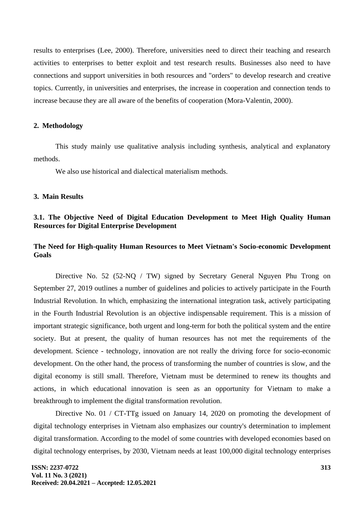results to enterprises (Lee, 2000). Therefore, universities need to direct their teaching and research activities to enterprises to better exploit and test research results. Businesses also need to have connections and support universities in both resources and "orders" to develop research and creative topics. Currently, in universities and enterprises, the increase in cooperation and connection tends to increase because they are all aware of the benefits of cooperation (Mora-Valentin, 2000).

#### **2. Methodology**

This study mainly use qualitative analysis including synthesis, analytical and explanatory methods.

We also use historical and dialectical materialism methods.

### **3. Main Results**

# **3.1. The Objective Need of Digital Education Development to Meet High Quality Human Resources for Digital Enterprise Development**

# **The Need for High-quality Human Resources to Meet Vietnam's Socio-economic Development Goals**

Directive No. 52 (52-NQ / TW) signed by Secretary General Nguyen Phu Trong on September 27, 2019 outlines a number of guidelines and policies to actively participate in the Fourth Industrial Revolution. In which, emphasizing the international integration task, actively participating in the Fourth Industrial Revolution is an objective indispensable requirement. This is a mission of important strategic significance, both urgent and long-term for both the political system and the entire society. But at present, the quality of human resources has not met the requirements of the development. Science - technology, innovation are not really the driving force for socio-economic development. On the other hand, the process of transforming the number of countries is slow, and the digital economy is still small. Therefore, Vietnam must be determined to renew its thoughts and actions, in which educational innovation is seen as an opportunity for Vietnam to make a breakthrough to implement the digital transformation revolution.

Directive No. 01 / CT-TTg issued on January 14, 2020 on promoting the development of digital technology enterprises in Vietnam also emphasizes our country's determination to implement digital transformation. According to the model of some countries with developed economies based on digital technology enterprises, by 2030, Vietnam needs at least 100,000 digital technology enterprises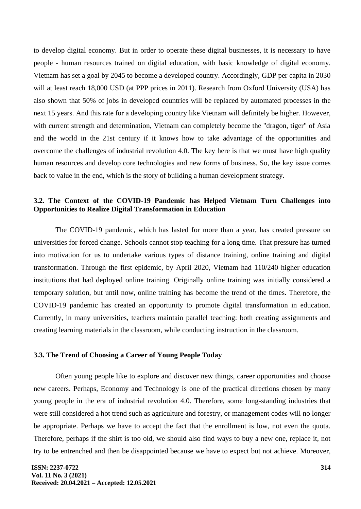to develop digital economy. But in order to operate these digital businesses, it is necessary to have people - human resources trained on digital education, with basic knowledge of digital economy. Vietnam has set a goal by 2045 to become a developed country. Accordingly, GDP per capita in 2030 will at least reach 18,000 USD (at PPP prices in 2011). Research from Oxford University (USA) has also shown that 50% of jobs in developed countries will be replaced by automated processes in the next 15 years. And this rate for a developing country like Vietnam will definitely be higher. However, with current strength and determination, Vietnam can completely become the "dragon, tiger" of Asia and the world in the 21st century if it knows how to take advantage of the opportunities and overcome the challenges of industrial revolution 4.0. The key here is that we must have high quality human resources and develop core technologies and new forms of business. So, the key issue comes back to value in the end, which is the story of building a human development strategy.

# **3.2. The Context of the COVID-19 Pandemic has Helped Vietnam Turn Challenges into Opportunities to Realize Digital Transformation in Education**

The COVID-19 pandemic, which has lasted for more than a year, has created pressure on universities for forced change. Schools cannot stop teaching for a long time. That pressure has turned into motivation for us to undertake various types of distance training, online training and digital transformation. Through the first epidemic, by April 2020, Vietnam had 110/240 higher education institutions that had deployed online training. Originally online training was initially considered a temporary solution, but until now, online training has become the trend of the times. Therefore, the COVID-19 pandemic has created an opportunity to promote digital transformation in education. Currently, in many universities, teachers maintain parallel teaching: both creating assignments and creating learning materials in the classroom, while conducting instruction in the classroom.

#### **3.3. The Trend of Choosing a Career of Young People Today**

Often young people like to explore and discover new things, career opportunities and choose new careers. Perhaps, Economy and Technology is one of the practical directions chosen by many young people in the era of industrial revolution 4.0. Therefore, some long-standing industries that were still considered a hot trend such as agriculture and forestry, or management codes will no longer be appropriate. Perhaps we have to accept the fact that the enrollment is low, not even the quota. Therefore, perhaps if the shirt is too old, we should also find ways to buy a new one, replace it, not try to be entrenched and then be disappointed because we have to expect but not achieve. Moreover,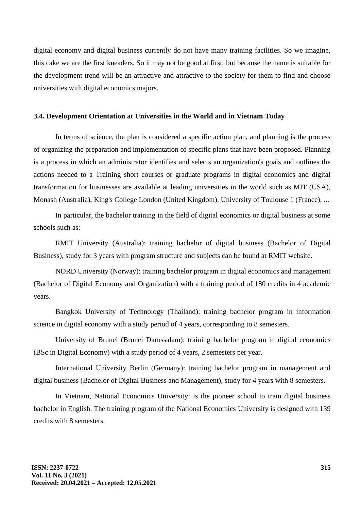digital economy and digital business currently do not have many training facilities. So we imagine, this cake we are the first kneaders. So it may not be good at first, but because the name is suitable for the development trend will be an attractive and attractive to the society for them to find and choose universities with digital economics majors.

#### **3.4. Development Orientation at Universities in the World and in Vietnam Today**

In terms of science, the plan is considered a specific action plan, and planning is the process of organizing the preparation and implementation of specific plans that have been proposed. Planning is a process in which an administrator identifies and selects an organization's goals and outlines the actions needed to a Training short courses or graduate programs in digital economics and digital transformation for businesses are available at leading universities in the world such as MIT (USA), Monash (Australia), King's College London (United Kingdom), University of Toulouse 1 (France), ...

In particular, the bachelor training in the field of digital economics or digital business at some schools such as:

RMIT University (Australia): training bachelor of digital business (Bachelor of Digital Business), study for 3 years with program structure and subjects can be found at RMIT website.

NORD University (Norway): training bachelor program in digital economics and management (Bachelor of Digital Economy and Organization) with a training period of 180 credits in 4 academic years.

Bangkok University of Technology (Thailand): training bachelor program in information science in digital economy with a study period of 4 years, corresponding to 8 semesters.

University of Brunei (Brunei Darussalam): training bachelor program in digital economics (BSc in Digital Economy) with a study period of 4 years, 2 semesters per year.

International University Berlin (Germany): training bachelor program in management and digital business (Bachelor of Digital Business and Management), study for 4 years with 8 semesters.

In Vietnam, National Economics University: is the pioneer school to train digital business bachelor in English. The training program of the National Economics University is designed with 139 credits with 8 semesters.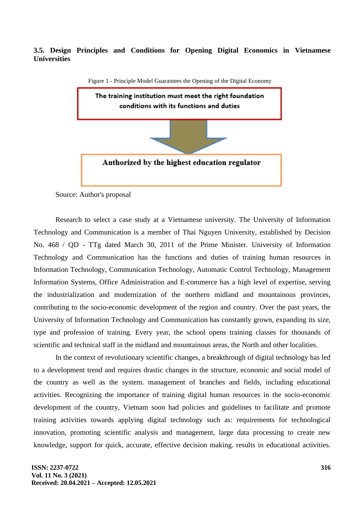# **3.5. Design Principles and Conditions for Opening Digital Economics in Vietnamese Universities**



Figure 1 - Principle Model Guarantees the Opening of the Digital Economy

Source: Author's proposal

Research to select a case study at a Vietnamese university. The University of Information Technology and Communication is a member of Thai Nguyen University, established by Decision No. 468 / QD - TTg dated March 30, 2011 of the Prime Minister. University of Information Technology and Communication has the functions and duties of training human resources in Information Technology, Communication Technology, Automatic Control Technology, Management Information Systems, Office Administration and E-commerce has a high level of expertise, serving the industrialization and modernization of the northern midland and mountainous provinces, contributing to the socio-economic development of the region and country. Over the past years, the University of Information Technology and Communication has constantly grown, expanding its size, type and profession of training. Every year, the school opens training classes for thousands of scientific and technical staff in the midland and mountainous areas, the North and other localities.

In the context of revolutionary scientific changes, a breakthrough of digital technology has led to a development trend and requires drastic changes in the structure, economic and social model of the country as well as the system. management of branches and fields, including educational activities. Recognizing the importance of training digital human resources in the socio-economic development of the country, Vietnam soon had policies and guidelines to facilitate and promote training activities towards applying digital technology such as: requirements for technological innovation, promoting scientific analysis and management, large data processing to create new knowledge, support for quick, accurate, effective decision making. results in educational activities.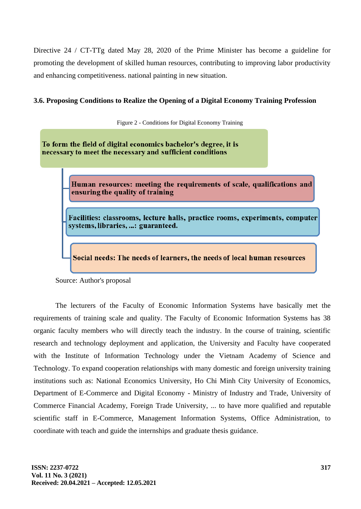Directive 24 / CT-TTg dated May 28, 2020 of the Prime Minister has become a guideline for promoting the development of skilled human resources, contributing to improving labor productivity and enhancing competitiveness. national painting in new situation.

# **3.6. Proposing Conditions to Realize the Opening of a Digital Economy Training Profession**

Figure 2 - Conditions for Digital Economy Training

To form the field of digital economics bachelor's degree, it is necessary to meet the necessary and sufficient conditions

> Human resources: meeting the requirements of scale, qualifications and ensuring the quality of training

Facilities: classrooms, lecture halls, practice rooms, experiments, computer systems, libraries, ...: guaranteed.

Social needs: The needs of learners, the needs of local human resources

Source: Author's proposal

The lecturers of the Faculty of Economic Information Systems have basically met the requirements of training scale and quality. The Faculty of Economic Information Systems has 38 organic faculty members who will directly teach the industry. In the course of training, scientific research and technology deployment and application, the University and Faculty have cooperated with the Institute of Information Technology under the Vietnam Academy of Science and Technology. To expand cooperation relationships with many domestic and foreign university training institutions such as: National Economics University, Ho Chi Minh City University of Economics, Department of E-Commerce and Digital Economy - Ministry of Industry and Trade, University of Commerce Financial Academy, Foreign Trade University, ... to have more qualified and reputable scientific staff in E-Commerce, Management Information Systems, Office Administration, to coordinate with teach and guide the internships and graduate thesis guidance.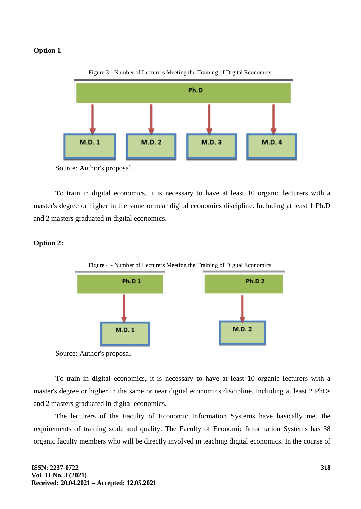#### **Option 1**



Figure 3 - Number of Lecturers Meeting the Training of Digital Economics

To train in digital economics, it is necessary to have at least 10 organic lecturers with a master's degree or higher in the same or near digital economics discipline. Including at least 1 Ph.D and 2 masters graduated in digital economics.

# **Option 2:**



Figure 4 - Number of Lecturers Meeting the Training of Digital Economics

Source: Author's proposal

To train in digital economics, it is necessary to have at least 10 organic lecturers with a master's degree or higher in the same or near digital economics discipline. Including at least 2 PhDs and 2 masters graduated in digital economics.

The lecturers of the Faculty of Economic Information Systems have basically met the requirements of training scale and quality. The Faculty of Economic Information Systems has 38 organic faculty members who will be directly involved in teaching digital economics. In the course of

Source: Author's proposal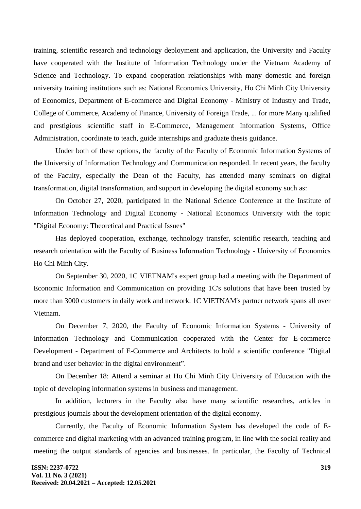training, scientific research and technology deployment and application, the University and Faculty have cooperated with the Institute of Information Technology under the Vietnam Academy of Science and Technology. To expand cooperation relationships with many domestic and foreign university training institutions such as: National Economics University, Ho Chi Minh City University of Economics, Department of E-commerce and Digital Economy - Ministry of Industry and Trade, College of Commerce, Academy of Finance, University of Foreign Trade, ... for more Many qualified and prestigious scientific staff in E-Commerce, Management Information Systems, Office Administration, coordinate to teach, guide internships and graduate thesis guidance.

Under both of these options, the faculty of the Faculty of Economic Information Systems of the University of Information Technology and Communication responded. In recent years, the faculty of the Faculty, especially the Dean of the Faculty, has attended many seminars on digital transformation, digital transformation, and support in developing the digital economy such as:

On October 27, 2020, participated in the National Science Conference at the Institute of Information Technology and Digital Economy - National Economics University with the topic "Digital Economy: Theoretical and Practical Issues"

Has deployed cooperation, exchange, technology transfer, scientific research, teaching and research orientation with the Faculty of Business Information Technology - University of Economics Ho Chi Minh City.

On September 30, 2020, 1C VIETNAM's expert group had a meeting with the Department of Economic Information and Communication on providing 1C's solutions that have been trusted by more than 3000 customers in daily work and network. 1C VIETNAM's partner network spans all over Vietnam.

On December 7, 2020, the Faculty of Economic Information Systems - University of Information Technology and Communication cooperated with the Center for E-commerce Development - Department of E-Commerce and Architects to hold a scientific conference "Digital brand and user behavior in the digital environment".

On December 18: Attend a seminar at Ho Chi Minh City University of Education with the topic of developing information systems in business and management.

In addition, lecturers in the Faculty also have many scientific researches, articles in prestigious journals about the development orientation of the digital economy.

Currently, the Faculty of Economic Information System has developed the code of Ecommerce and digital marketing with an advanced training program, in line with the social reality and meeting the output standards of agencies and businesses. In particular, the Faculty of Technical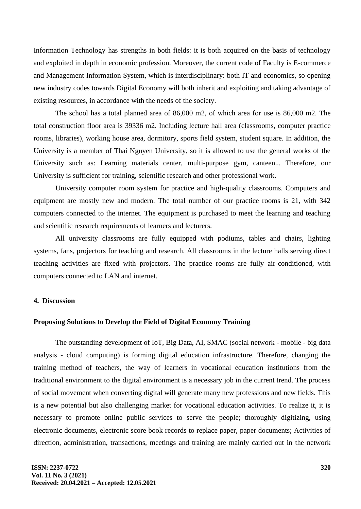Information Technology has strengths in both fields: it is both acquired on the basis of technology and exploited in depth in economic profession. Moreover, the current code of Faculty is E-commerce and Management Information System, which is interdisciplinary: both IT and economics, so opening new industry codes towards Digital Economy will both inherit and exploiting and taking advantage of existing resources, in accordance with the needs of the society.

The school has a total planned area of 86,000 m2, of which area for use is 86,000 m2. The total construction floor area is 39336 m2. Including lecture hall area (classrooms, computer practice rooms, libraries), working house area, dormitory, sports field system, student square. In addition, the University is a member of Thai Nguyen University, so it is allowed to use the general works of the University such as: Learning materials center, multi-purpose gym, canteen... Therefore, our University is sufficient for training, scientific research and other professional work.

University computer room system for practice and high-quality classrooms. Computers and equipment are mostly new and modern. The total number of our practice rooms is 21, with 342 computers connected to the internet. The equipment is purchased to meet the learning and teaching and scientific research requirements of learners and lecturers.

All university classrooms are fully equipped with podiums, tables and chairs, lighting systems, fans, projectors for teaching and research. All classrooms in the lecture halls serving direct teaching activities are fixed with projectors. The practice rooms are fully air-conditioned, with computers connected to LAN and internet.

# **4. Discussion**

#### **Proposing Solutions to Develop the Field of Digital Economy Training**

The outstanding development of IoT, Big Data, AI, SMAC (social network - mobile - big data analysis - cloud computing) is forming digital education infrastructure. Therefore, changing the training method of teachers, the way of learners in vocational education institutions from the traditional environment to the digital environment is a necessary job in the current trend. The process of social movement when converting digital will generate many new professions and new fields. This is a new potential but also challenging market for vocational education activities. To realize it, it is necessary to promote online public services to serve the people; thoroughly digitizing, using electronic documents, electronic score book records to replace paper, paper documents; Activities of direction, administration, transactions, meetings and training are mainly carried out in the network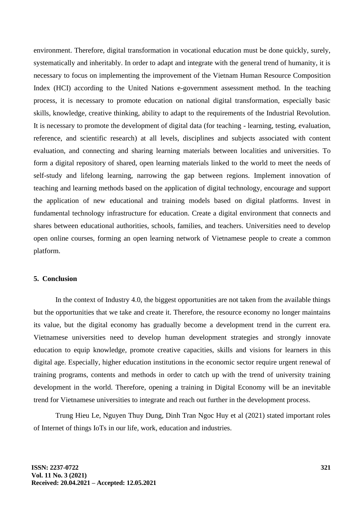environment. Therefore, digital transformation in vocational education must be done quickly, surely, systematically and inheritably. In order to adapt and integrate with the general trend of humanity, it is necessary to focus on implementing the improvement of the Vietnam Human Resource Composition Index (HCI) according to the United Nations e-government assessment method. In the teaching process, it is necessary to promote education on national digital transformation, especially basic skills, knowledge, creative thinking, ability to adapt to the requirements of the Industrial Revolution. It is necessary to promote the development of digital data (for teaching - learning, testing, evaluation, reference, and scientific research) at all levels, disciplines and subjects associated with content evaluation, and connecting and sharing learning materials between localities and universities. To form a digital repository of shared, open learning materials linked to the world to meet the needs of self-study and lifelong learning, narrowing the gap between regions. Implement innovation of teaching and learning methods based on the application of digital technology, encourage and support the application of new educational and training models based on digital platforms. Invest in fundamental technology infrastructure for education. Create a digital environment that connects and shares between educational authorities, schools, families, and teachers. Universities need to develop open online courses, forming an open learning network of Vietnamese people to create a common platform.

#### **5. Conclusion**

In the context of Industry 4.0, the biggest opportunities are not taken from the available things but the opportunities that we take and create it. Therefore, the resource economy no longer maintains its value, but the digital economy has gradually become a development trend in the current era. Vietnamese universities need to develop human development strategies and strongly innovate education to equip knowledge, promote creative capacities, skills and visions for learners in this digital age. Especially, higher education institutions in the economic sector require urgent renewal of training programs, contents and methods in order to catch up with the trend of university training development in the world. Therefore, opening a training in Digital Economy will be an inevitable trend for Vietnamese universities to integrate and reach out further in the development process.

Trung Hieu Le, Nguyen Thuy Dung, Dinh Tran Ngoc Huy et al (2021) stated important roles of Internet of things IoTs in our life, work, education and industries.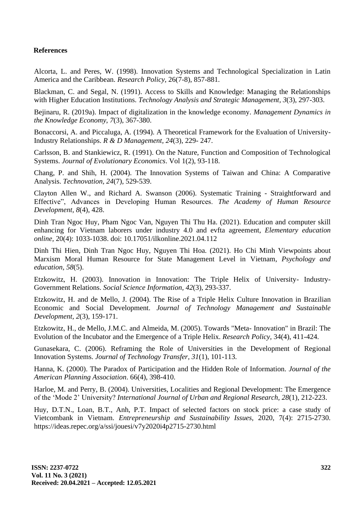# **References**

Alcorta, L. and Peres, W. (1998). Innovation Systems and Technological Specialization in Latin America and the Caribbean. *Research Policy,* 26(7-8), 857-881.

Blackman, C. and Segal, N. (1991). Access to Skills and Knowledge: Managing the Relationships with Higher Education Institutions. *Technology Analysis and Strategic Management, 3*(3), 297-303.

Bejinaru, R. (2019a). Impact of digitalization in the knowledge economy. *Management Dynamics in the Knowledge Economy*, *7*(3), 367-380.

Bonaccorsi, A. and Piccaluga, A. (1994). A Theoretical Framework for the Evaluation of University-Industry Relationships. *R & D Management, 24*(3), 229- 247.

Carlsson, B. and Stankiewicz, R. (1991). On the Nature, Function and Composition of Technological Systems. *Journal of Evolutionary Economics*. Vol 1(2), 93-118.

Chang, P. and Shih, H. (2004). The Innovation Systems of Taiwan and China: A Comparative Analysis. *Technovation, 24*(7), 529-539.

Clayton Allen W., and Richard A. Swanson (2006). Systematic Training - Straightforward and Effective", Advances in Developing Human Resources. *The Academy of Human Resource Development, 8*(4), 428.

Dinh Tran Ngoc Huy, Pham Ngoc Van, Nguyen Thi Thu Ha. (2021). Education and computer skill enhancing for Vietnam laborers under industry 4.0 and evfta agreement, *Elementary education online,* 20(4): 1033-1038. doi: [10.17051/ilkonline.2021.04.112](http://dx.doi.org/10.17051/ilkonline.2021.04.112)

Dinh Thi Hien, Dinh Tran Ngoc Huy, Nguyen Thi Hoa. (2021). Ho Chi Minh Viewpoints about Marxism Moral Human Resource for State Management Level in Vietnam, *Psychology and education, 58*(5).

Etzkowitz, H. (2003). Innovation in Innovation: The Triple Helix of University- Industry-Government Relations. *Social Science Information, 42*(3), 293-337.

Etzkowitz, H. and de Mello, J. (2004). The Rise of a Triple Helix Culture Innovation in Brazilian Economic and Social Development. *Journal of Technology Management and Sustainable Development, 2*(3), 159-171.

Etzkowitz, H., de Mello, J.M.C. and Almeida, M. (2005). Towards "Meta- Innovation" in Brazil: The Evolution of the Incubator and the Emergence of a Triple Helix. *Research Policy,* 34(4), 411-424.

Gunasekara, C. (2006). Reframing the Role of Universities in the Development of Regional Innovation Systems. *Journal of Technology Transfer, 31*(1), 101-113.

Hanna, K. (2000). The Paradox of Participation and the Hidden Role of Information. *Journal of the American Planning Association*. 66(4), 398-410.

Harloe, M. and Perry, B. (2004). Universities, Localities and Regional Development: The Emergence of the 'Mode 2' University? *International Journal of Urban and Regional Research, 28*(1), 212-223.

Huy, D.T.N., Loan, B.T., Anh, P.T. Impact of selected factors on stock price: a case study of Vietcombank in Vietnam. *Entrepreneurship and Sustainability Issues,* 2020, 7(4): 2715-2730. https://ideas.repec.org/a/ssi/jouesi/v7y2020i4p2715-2730.html